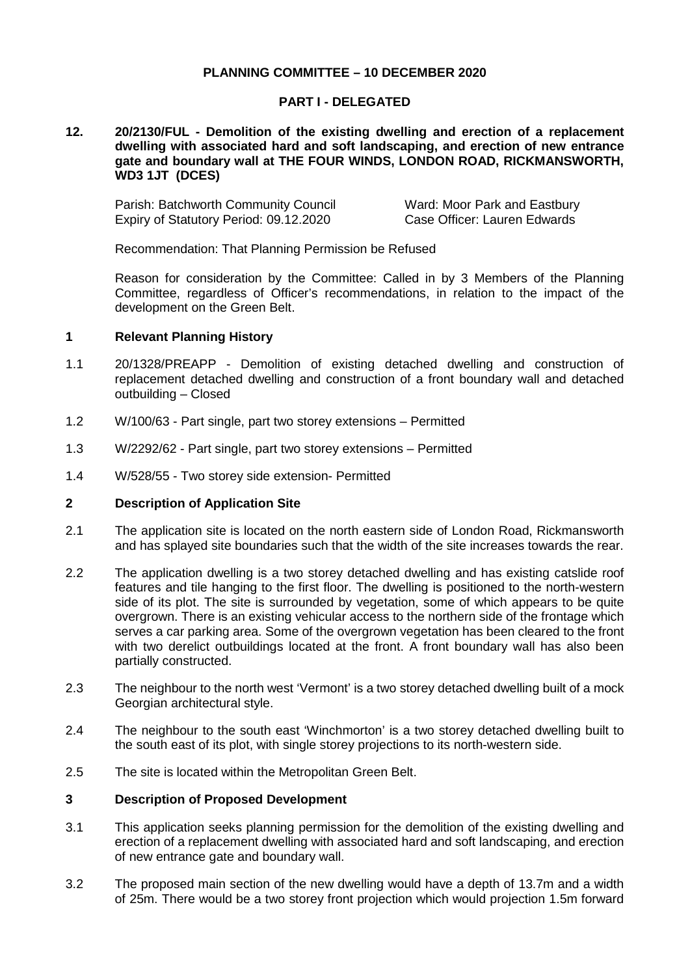## **PLANNING COMMITTEE – 10 DECEMBER 2020**

### **PART I - DELEGATED**

#### **12. 20/2130/FUL - Demolition of the existing dwelling and erection of a replacement dwelling with associated hard and soft landscaping, and erection of new entrance gate and boundary wall at THE FOUR WINDS, LONDON ROAD, RICKMANSWORTH, WD3 1JT (DCES)**

Parish: Batchworth Community Council Ward: Moor Park and Eastbury Expiry of Statutory Period: 09.12.2020 Case Officer: Lauren Edwards

Recommendation: That Planning Permission be Refused

Reason for consideration by the Committee: Called in by 3 Members of the Planning Committee, regardless of Officer's recommendations, in relation to the impact of the development on the Green Belt.

### **1 Relevant Planning History**

- 1.1 20/1328/PREAPP Demolition of existing detached dwelling and construction of replacement detached dwelling and construction of a front boundary wall and detached outbuilding – Closed
- 1.2 W/100/63 Part single, part two storey extensions Permitted
- 1.3 W/2292/62 Part single, part two storey extensions Permitted
- 1.4 W/528/55 Two storey side extension- Permitted

### **2 Description of Application Site**

- 2.1 The application site is located on the north eastern side of London Road, Rickmansworth and has splayed site boundaries such that the width of the site increases towards the rear.
- 2.2 The application dwelling is a two storey detached dwelling and has existing catslide roof features and tile hanging to the first floor. The dwelling is positioned to the north-western side of its plot. The site is surrounded by vegetation, some of which appears to be quite overgrown. There is an existing vehicular access to the northern side of the frontage which serves a car parking area. Some of the overgrown vegetation has been cleared to the front with two derelict outbuildings located at the front. A front boundary wall has also been partially constructed.
- 2.3 The neighbour to the north west 'Vermont' is a two storey detached dwelling built of a mock Georgian architectural style.
- 2.4 The neighbour to the south east 'Winchmorton' is a two storey detached dwelling built to the south east of its plot, with single storey projections to its north-western side.
- 2.5 The site is located within the Metropolitan Green Belt.

### **3 Description of Proposed Development**

- 3.1 This application seeks planning permission for the demolition of the existing dwelling and erection of a replacement dwelling with associated hard and soft landscaping, and erection of new entrance gate and boundary wall.
- 3.2 The proposed main section of the new dwelling would have a depth of 13.7m and a width of 25m. There would be a two storey front projection which would projection 1.5m forward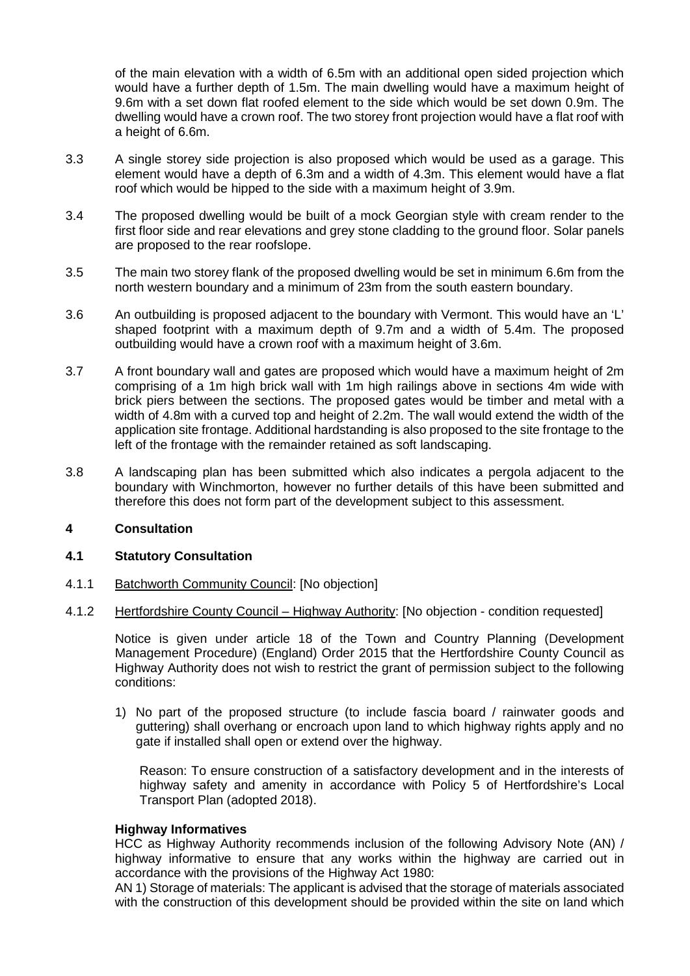of the main elevation with a width of 6.5m with an additional open sided projection which would have a further depth of 1.5m. The main dwelling would have a maximum height of 9.6m with a set down flat roofed element to the side which would be set down 0.9m. The dwelling would have a crown roof. The two storey front projection would have a flat roof with a height of 6.6m.

- 3.3 A single storey side projection is also proposed which would be used as a garage. This element would have a depth of 6.3m and a width of 4.3m. This element would have a flat roof which would be hipped to the side with a maximum height of 3.9m.
- 3.4 The proposed dwelling would be built of a mock Georgian style with cream render to the first floor side and rear elevations and grey stone cladding to the ground floor. Solar panels are proposed to the rear roofslope.
- 3.5 The main two storey flank of the proposed dwelling would be set in minimum 6.6m from the north western boundary and a minimum of 23m from the south eastern boundary.
- 3.6 An outbuilding is proposed adjacent to the boundary with Vermont. This would have an 'L' shaped footprint with a maximum depth of 9.7m and a width of 5.4m. The proposed outbuilding would have a crown roof with a maximum height of 3.6m.
- 3.7 A front boundary wall and gates are proposed which would have a maximum height of 2m comprising of a 1m high brick wall with 1m high railings above in sections 4m wide with brick piers between the sections. The proposed gates would be timber and metal with a width of 4.8m with a curved top and height of 2.2m. The wall would extend the width of the application site frontage. Additional hardstanding is also proposed to the site frontage to the left of the frontage with the remainder retained as soft landscaping.
- 3.8 A landscaping plan has been submitted which also indicates a pergola adjacent to the boundary with Winchmorton, however no further details of this have been submitted and therefore this does not form part of the development subject to this assessment.

# **4 Consultation**

## **4.1 Statutory Consultation**

- 4.1.1 Batchworth Community Council: [No objection]
- 4.1.2 Hertfordshire County Council Highway Authority: [No objection condition requested]

Notice is given under article 18 of the Town and Country Planning (Development Management Procedure) (England) Order 2015 that the Hertfordshire County Council as Highway Authority does not wish to restrict the grant of permission subject to the following conditions:

1) No part of the proposed structure (to include fascia board / rainwater goods and guttering) shall overhang or encroach upon land to which highway rights apply and no gate if installed shall open or extend over the highway.

Reason: To ensure construction of a satisfactory development and in the interests of highway safety and amenity in accordance with Policy 5 of Hertfordshire's Local Transport Plan (adopted 2018).

#### **Highway Informatives**

HCC as Highway Authority recommends inclusion of the following Advisory Note (AN) / highway informative to ensure that any works within the highway are carried out in accordance with the provisions of the Highway Act 1980:

AN 1) Storage of materials: The applicant is advised that the storage of materials associated with the construction of this development should be provided within the site on land which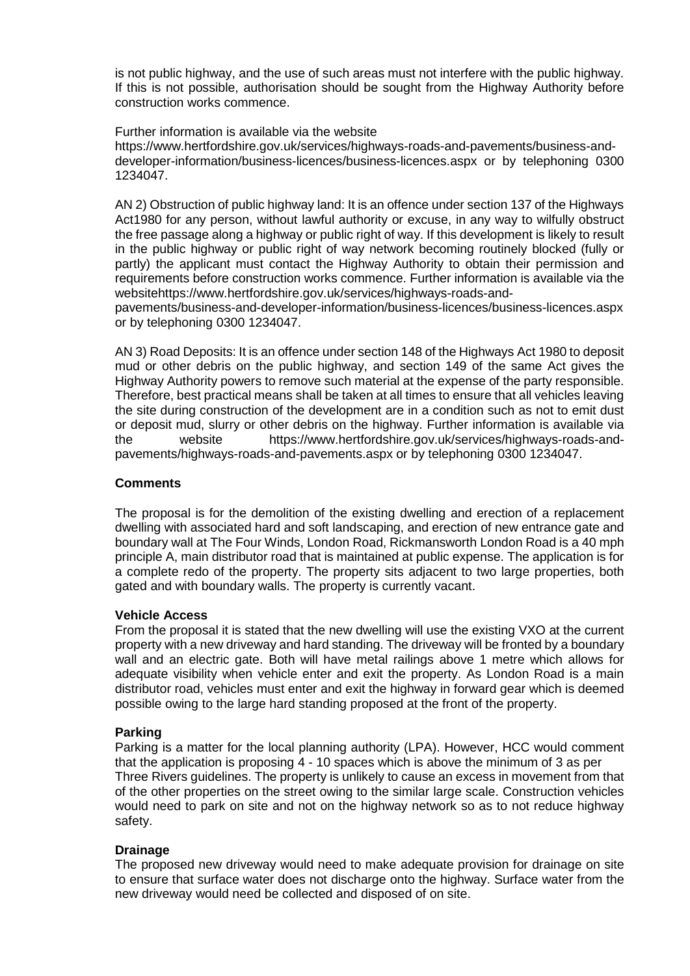is not public highway, and the use of such areas must not interfere with the public highway. If this is not possible, authorisation should be sought from the Highway Authority before construction works commence.

Further information is available via the website https://www.hertfordshire.gov.uk/services/highways-roads-and-pavements/business-anddeveloper-information/business-licences/business-licences.aspx or by telephoning 0300 1234047.

AN 2) Obstruction of public highway land: It is an offence under section 137 of the Highways Act1980 for any person, without lawful authority or excuse, in any way to wilfully obstruct the free passage along a highway or public right of way. If this development is likely to result in the public highway or public right of way network becoming routinely blocked (fully or partly) the applicant must contact the Highway Authority to obtain their permission and requirements before construction works commence. Further information is available via the websitehttps://www.hertfordshire.gov.uk/services/highways-roads-and-

pavements/business-and-developer-information/business-licences/business-licences.aspx or by telephoning 0300 1234047.

AN 3) Road Deposits: It is an offence under section 148 of the Highways Act 1980 to deposit mud or other debris on the public highway, and section 149 of the same Act gives the Highway Authority powers to remove such material at the expense of the party responsible. Therefore, best practical means shall be taken at all times to ensure that all vehicles leaving the site during construction of the development are in a condition such as not to emit dust or deposit mud, slurry or other debris on the highway. Further information is available via the website https://www.hertfordshire.gov.uk/services/highways-roads-andpavements/highways-roads-and-pavements.aspx or by telephoning 0300 1234047.

## **Comments**

The proposal is for the demolition of the existing dwelling and erection of a replacement dwelling with associated hard and soft landscaping, and erection of new entrance gate and boundary wall at The Four Winds, London Road, Rickmansworth London Road is a 40 mph principle A, main distributor road that is maintained at public expense. The application is for a complete redo of the property. The property sits adjacent to two large properties, both gated and with boundary walls. The property is currently vacant.

## **Vehicle Access**

From the proposal it is stated that the new dwelling will use the existing VXO at the current property with a new driveway and hard standing. The driveway will be fronted by a boundary wall and an electric gate. Both will have metal railings above 1 metre which allows for adequate visibility when vehicle enter and exit the property. As London Road is a main distributor road, vehicles must enter and exit the highway in forward gear which is deemed possible owing to the large hard standing proposed at the front of the property.

## **Parking**

Parking is a matter for the local planning authority (LPA). However, HCC would comment that the application is proposing 4 - 10 spaces which is above the minimum of 3 as per Three Rivers guidelines. The property is unlikely to cause an excess in movement from that of the other properties on the street owing to the similar large scale. Construction vehicles would need to park on site and not on the highway network so as to not reduce highway safety.

## **Drainage**

The proposed new driveway would need to make adequate provision for drainage on site to ensure that surface water does not discharge onto the highway. Surface water from the new driveway would need be collected and disposed of on site.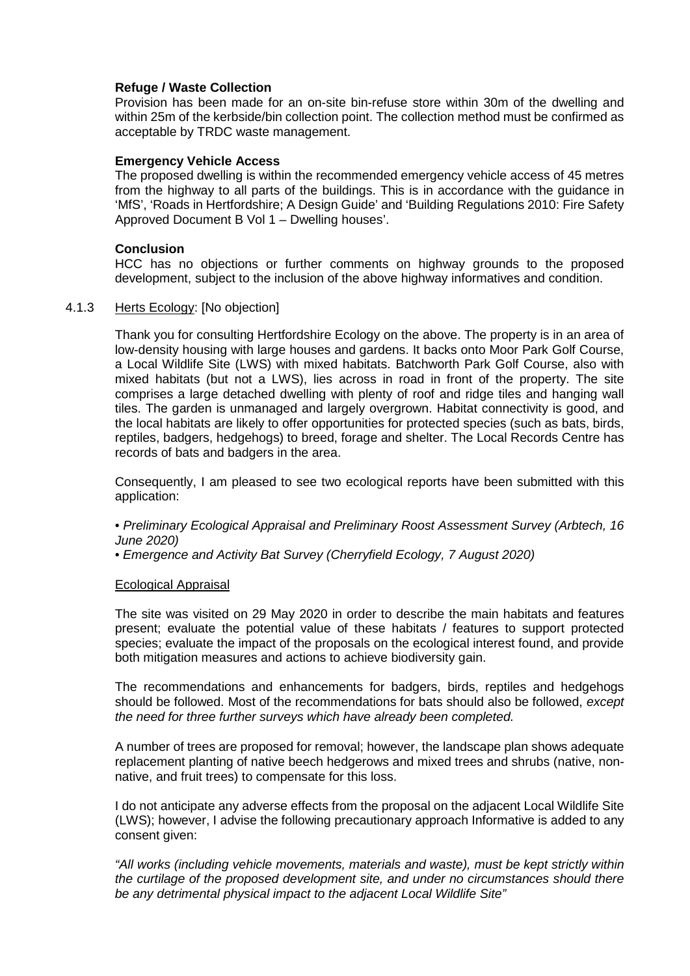### **Refuge / Waste Collection**

Provision has been made for an on-site bin-refuse store within 30m of the dwelling and within 25m of the kerbside/bin collection point. The collection method must be confirmed as acceptable by TRDC waste management.

#### **Emergency Vehicle Access**

The proposed dwelling is within the recommended emergency vehicle access of 45 metres from the highway to all parts of the buildings. This is in accordance with the guidance in 'MfS', 'Roads in Hertfordshire; A Design Guide' and 'Building Regulations 2010: Fire Safety Approved Document B Vol 1 – Dwelling houses'.

#### **Conclusion**

HCC has no objections or further comments on highway grounds to the proposed development, subject to the inclusion of the above highway informatives and condition.

### 4.1.3 Herts Ecology: [No objection]

Thank you for consulting Hertfordshire Ecology on the above. The property is in an area of low-density housing with large houses and gardens. It backs onto Moor Park Golf Course, a Local Wildlife Site (LWS) with mixed habitats. Batchworth Park Golf Course, also with mixed habitats (but not a LWS), lies across in road in front of the property. The site comprises a large detached dwelling with plenty of roof and ridge tiles and hanging wall tiles. The garden is unmanaged and largely overgrown. Habitat connectivity is good, and the local habitats are likely to offer opportunities for protected species (such as bats, birds, reptiles, badgers, hedgehogs) to breed, forage and shelter. The Local Records Centre has records of bats and badgers in the area.

Consequently, I am pleased to see two ecological reports have been submitted with this application:

- *Preliminary Ecological Appraisal and Preliminary Roost Assessment Survey (Arbtech, 16 June 2020)*
- *Emergence and Activity Bat Survey (Cherryfield Ecology, 7 August 2020)*

#### Ecological Appraisal

The site was visited on 29 May 2020 in order to describe the main habitats and features present; evaluate the potential value of these habitats / features to support protected species; evaluate the impact of the proposals on the ecological interest found, and provide both mitigation measures and actions to achieve biodiversity gain.

The recommendations and enhancements for badgers, birds, reptiles and hedgehogs should be followed. Most of the recommendations for bats should also be followed, *except the need for three further surveys which have already been completed.*

A number of trees are proposed for removal; however, the landscape plan shows adequate replacement planting of native beech hedgerows and mixed trees and shrubs (native, nonnative, and fruit trees) to compensate for this loss.

I do not anticipate any adverse effects from the proposal on the adjacent Local Wildlife Site (LWS); however, I advise the following precautionary approach Informative is added to any consent given:

*"All works (including vehicle movements, materials and waste), must be kept strictly within the curtilage of the proposed development site, and under no circumstances should there be any detrimental physical impact to the adjacent Local Wildlife Site"*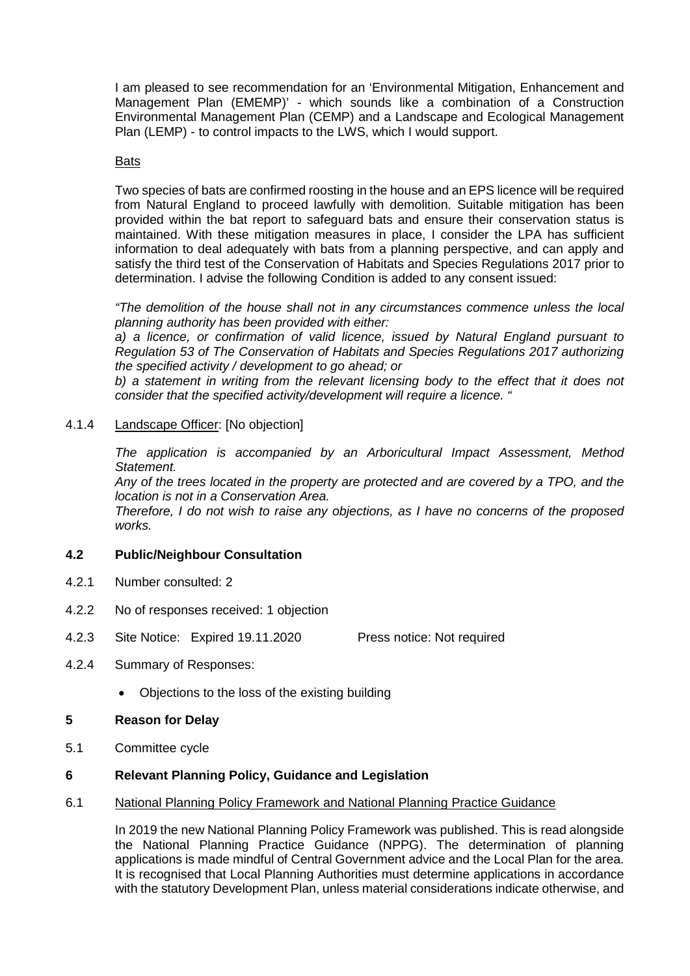I am pleased to see recommendation for an 'Environmental Mitigation, Enhancement and Management Plan (EMEMP)' - which sounds like a combination of a Construction Environmental Management Plan (CEMP) and a Landscape and Ecological Management Plan (LEMP) - to control impacts to the LWS, which I would support.

## **Bats**

Two species of bats are confirmed roosting in the house and an EPS licence will be required from Natural England to proceed lawfully with demolition. Suitable mitigation has been provided within the bat report to safeguard bats and ensure their conservation status is maintained. With these mitigation measures in place, I consider the LPA has sufficient information to deal adequately with bats from a planning perspective, and can apply and satisfy the third test of the Conservation of Habitats and Species Regulations 2017 prior to determination. I advise the following Condition is added to any consent issued:

*"The demolition of the house shall not in any circumstances commence unless the local planning authority has been provided with either:* 

*a) a licence, or confirmation of valid licence, issued by Natural England pursuant to Regulation 53 of The Conservation of Habitats and Species Regulations 2017 authorizing the specified activity / development to go ahead; or* 

*b) a statement in writing from the relevant licensing body to the effect that it does not consider that the specified activity/development will require a licence. "*

# 4.1.4 Landscape Officer: [No objection]

*The application is accompanied by an Arboricultural Impact Assessment, Method Statement.*

*Any of the trees located in the property are protected and are covered by a TPO, and the location is not in a Conservation Area.* 

*Therefore, I do not wish to raise any objections, as I have no concerns of the proposed works.*

## **4.2 Public/Neighbour Consultation**

- 4.2.1 Number consulted: 2
- 4.2.2 No of responses received: 1 objection
- 4.2.3 Site Notice: Expired 19.11.2020 Press notice: Not required
- 4.2.4 Summary of Responses:
	- Objections to the loss of the existing building

## **5 Reason for Delay**

5.1 Committee cycle

## **6 Relevant Planning Policy, Guidance and Legislation**

6.1 National Planning Policy Framework and National Planning Practice Guidance

In 2019 the new National Planning Policy Framework was published. This is read alongside the National Planning Practice Guidance (NPPG). The determination of planning applications is made mindful of Central Government advice and the Local Plan for the area. It is recognised that Local Planning Authorities must determine applications in accordance with the statutory Development Plan, unless material considerations indicate otherwise, and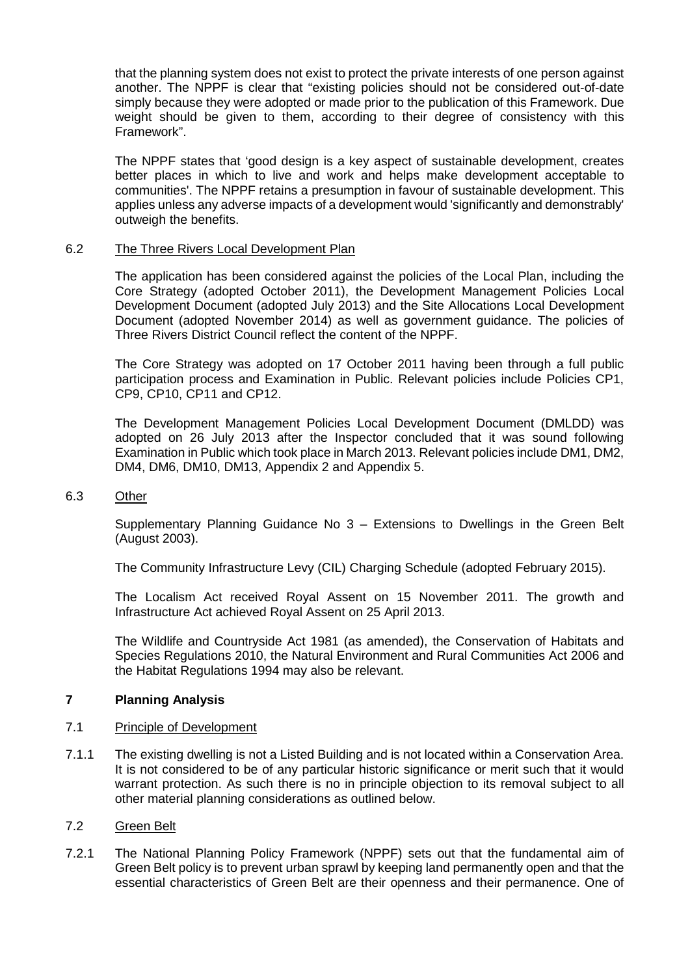that the planning system does not exist to protect the private interests of one person against another. The NPPF is clear that "existing policies should not be considered out-of-date simply because they were adopted or made prior to the publication of this Framework. Due weight should be given to them, according to their degree of consistency with this Framework".

The NPPF states that 'good design is a key aspect of sustainable development, creates better places in which to live and work and helps make development acceptable to communities'. The NPPF retains a presumption in favour of sustainable development. This applies unless any adverse impacts of a development would 'significantly and demonstrably' outweigh the benefits.

# 6.2 The Three Rivers Local Development Plan

The application has been considered against the policies of the Local Plan, including the Core Strategy (adopted October 2011), the Development Management Policies Local Development Document (adopted July 2013) and the Site Allocations Local Development Document (adopted November 2014) as well as government guidance. The policies of Three Rivers District Council reflect the content of the NPPF.

The Core Strategy was adopted on 17 October 2011 having been through a full public participation process and Examination in Public. Relevant policies include Policies CP1, CP9, CP10, CP11 and CP12.

The Development Management Policies Local Development Document (DMLDD) was adopted on 26 July 2013 after the Inspector concluded that it was sound following Examination in Public which took place in March 2013. Relevant policies include DM1, DM2, DM4, DM6, DM10, DM13, Appendix 2 and Appendix 5.

#### 6.3 Other

Supplementary Planning Guidance No 3 – Extensions to Dwellings in the Green Belt (August 2003).

The Community Infrastructure Levy (CIL) Charging Schedule (adopted February 2015).

The Localism Act received Royal Assent on 15 November 2011. The growth and Infrastructure Act achieved Royal Assent on 25 April 2013.

The Wildlife and Countryside Act 1981 (as amended), the Conservation of Habitats and Species Regulations 2010, the Natural Environment and Rural Communities Act 2006 and the Habitat Regulations 1994 may also be relevant.

# **7 Planning Analysis**

#### 7.1 Principle of Development

7.1.1 The existing dwelling is not a Listed Building and is not located within a Conservation Area. It is not considered to be of any particular historic significance or merit such that it would warrant protection. As such there is no in principle objection to its removal subject to all other material planning considerations as outlined below.

#### 7.2 Green Belt

7.2.1 The National Planning Policy Framework (NPPF) sets out that the fundamental aim of Green Belt policy is to prevent urban sprawl by keeping land permanently open and that the essential characteristics of Green Belt are their openness and their permanence. One of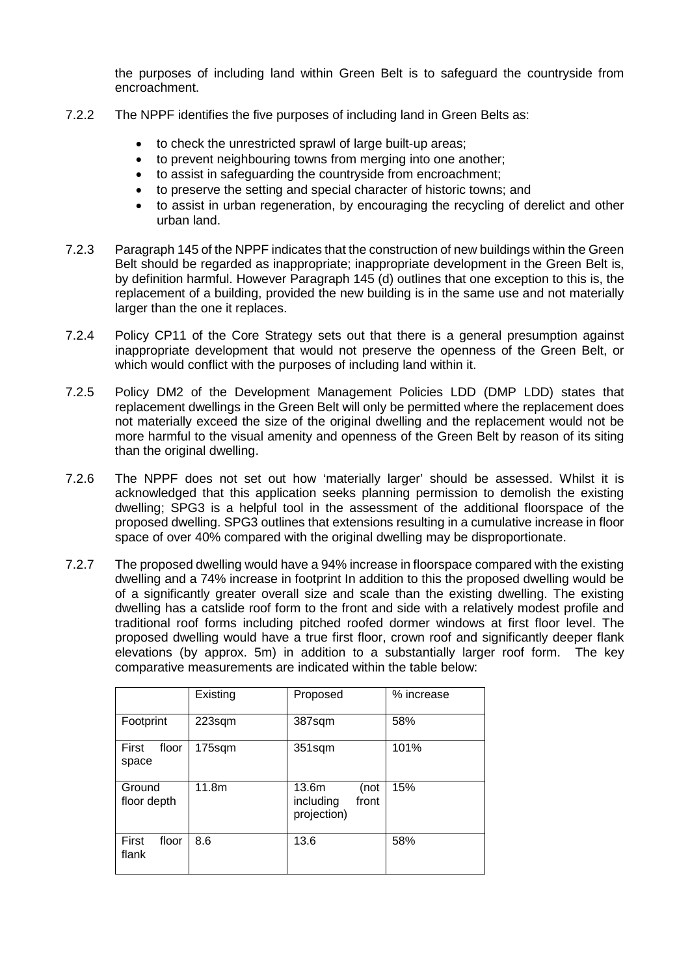the purposes of including land within Green Belt is to safeguard the countryside from encroachment.

- 7.2.2 The NPPF identifies the five purposes of including land in Green Belts as:
	- to check the unrestricted sprawl of large built-up areas;
	- to prevent neighbouring towns from merging into one another;
	- to assist in safeguarding the countryside from encroachment;
	- to preserve the setting and special character of historic towns; and
	- to assist in urban regeneration, by encouraging the recycling of derelict and other urban land.
- 7.2.3 Paragraph 145 of the NPPF indicates that the construction of new buildings within the Green Belt should be regarded as inappropriate; inappropriate development in the Green Belt is, by definition harmful. However Paragraph 145 (d) outlines that one exception to this is, the replacement of a building, provided the new building is in the same use and not materially larger than the one it replaces.
- 7.2.4 Policy CP11 of the Core Strategy sets out that there is a general presumption against inappropriate development that would not preserve the openness of the Green Belt, or which would conflict with the purposes of including land within it.
- 7.2.5 Policy DM2 of the Development Management Policies LDD (DMP LDD) states that replacement dwellings in the Green Belt will only be permitted where the replacement does not materially exceed the size of the original dwelling and the replacement would not be more harmful to the visual amenity and openness of the Green Belt by reason of its siting than the original dwelling.
- 7.2.6 The NPPF does not set out how 'materially larger' should be assessed. Whilst it is acknowledged that this application seeks planning permission to demolish the existing dwelling; SPG3 is a helpful tool in the assessment of the additional floorspace of the proposed dwelling. SPG3 outlines that extensions resulting in a cumulative increase in floor space of over 40% compared with the original dwelling may be disproportionate.
- 7.2.7 The proposed dwelling would have a 94% increase in floorspace compared with the existing dwelling and a 74% increase in footprint In addition to this the proposed dwelling would be of a significantly greater overall size and scale than the existing dwelling. The existing dwelling has a catslide roof form to the front and side with a relatively modest profile and traditional roof forms including pitched roofed dormer windows at first floor level. The proposed dwelling would have a true first floor, crown roof and significantly deeper flank elevations (by approx. 5m) in addition to a substantially larger roof form. The key comparative measurements are indicated within the table below:

|                         | Existing | Proposed                                           | % increase |
|-------------------------|----------|----------------------------------------------------|------------|
| Footprint               | 223sqm   | 387sqm                                             | 58%        |
| First<br>floor<br>space | 175sqm   | 351sqm                                             | 101%       |
| Ground<br>floor depth   | 11.8m    | 13.6m<br>(not<br>including<br>front<br>projection) | 15%        |
| First<br>floor<br>flank | 8.6      | 13.6                                               | 58%        |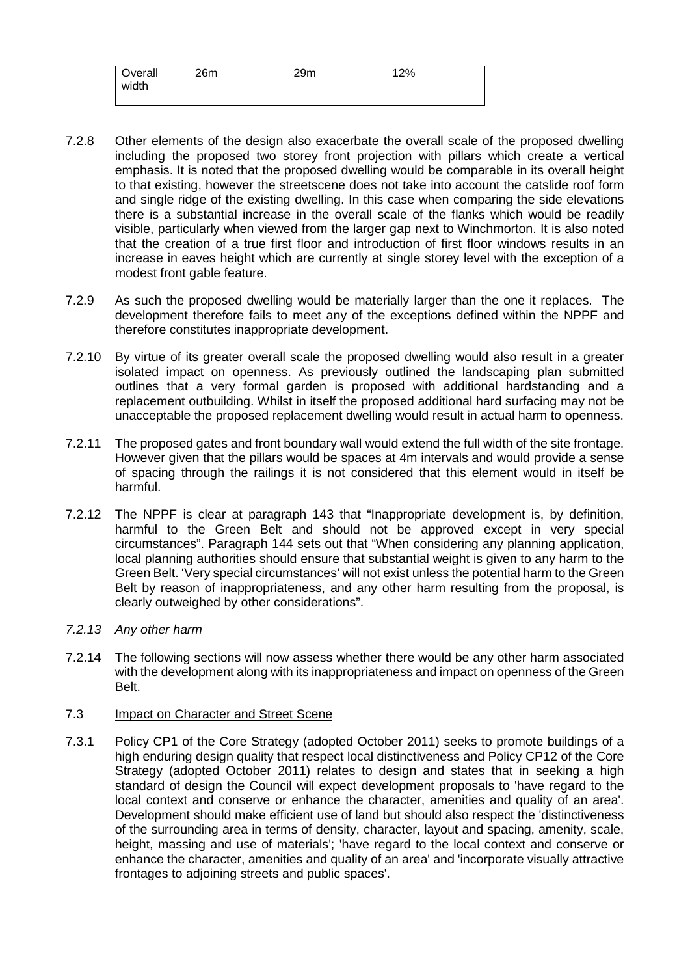| Overall | 26m | 29m | 12% |
|---------|-----|-----|-----|
| width   |     |     |     |
|         |     |     |     |

- 7.2.8 Other elements of the design also exacerbate the overall scale of the proposed dwelling including the proposed two storey front projection with pillars which create a vertical emphasis. It is noted that the proposed dwelling would be comparable in its overall height to that existing, however the streetscene does not take into account the catslide roof form and single ridge of the existing dwelling. In this case when comparing the side elevations there is a substantial increase in the overall scale of the flanks which would be readily visible, particularly when viewed from the larger gap next to Winchmorton. It is also noted that the creation of a true first floor and introduction of first floor windows results in an increase in eaves height which are currently at single storey level with the exception of a modest front gable feature.
- 7.2.9 As such the proposed dwelling would be materially larger than the one it replaces. The development therefore fails to meet any of the exceptions defined within the NPPF and therefore constitutes inappropriate development.
- 7.2.10 By virtue of its greater overall scale the proposed dwelling would also result in a greater isolated impact on openness. As previously outlined the landscaping plan submitted outlines that a very formal garden is proposed with additional hardstanding and a replacement outbuilding. Whilst in itself the proposed additional hard surfacing may not be unacceptable the proposed replacement dwelling would result in actual harm to openness.
- 7.2.11 The proposed gates and front boundary wall would extend the full width of the site frontage. However given that the pillars would be spaces at 4m intervals and would provide a sense of spacing through the railings it is not considered that this element would in itself be harmful.
- 7.2.12 The NPPF is clear at paragraph 143 that "Inappropriate development is, by definition, harmful to the Green Belt and should not be approved except in very special circumstances". Paragraph 144 sets out that "When considering any planning application, local planning authorities should ensure that substantial weight is given to any harm to the Green Belt. 'Very special circumstances' will not exist unless the potential harm to the Green Belt by reason of inappropriateness, and any other harm resulting from the proposal, is clearly outweighed by other considerations".
- *7.2.13 Any other harm*
- 7.2.14 The following sections will now assess whether there would be any other harm associated with the development along with its inappropriateness and impact on openness of the Green Belt.

#### 7.3 Impact on Character and Street Scene

7.3.1 Policy CP1 of the Core Strategy (adopted October 2011) seeks to promote buildings of a high enduring design quality that respect local distinctiveness and Policy CP12 of the Core Strategy (adopted October 2011) relates to design and states that in seeking a high standard of design the Council will expect development proposals to 'have regard to the local context and conserve or enhance the character, amenities and quality of an area'. Development should make efficient use of land but should also respect the 'distinctiveness of the surrounding area in terms of density, character, layout and spacing, amenity, scale, height, massing and use of materials'; 'have regard to the local context and conserve or enhance the character, amenities and quality of an area' and 'incorporate visually attractive frontages to adjoining streets and public spaces'.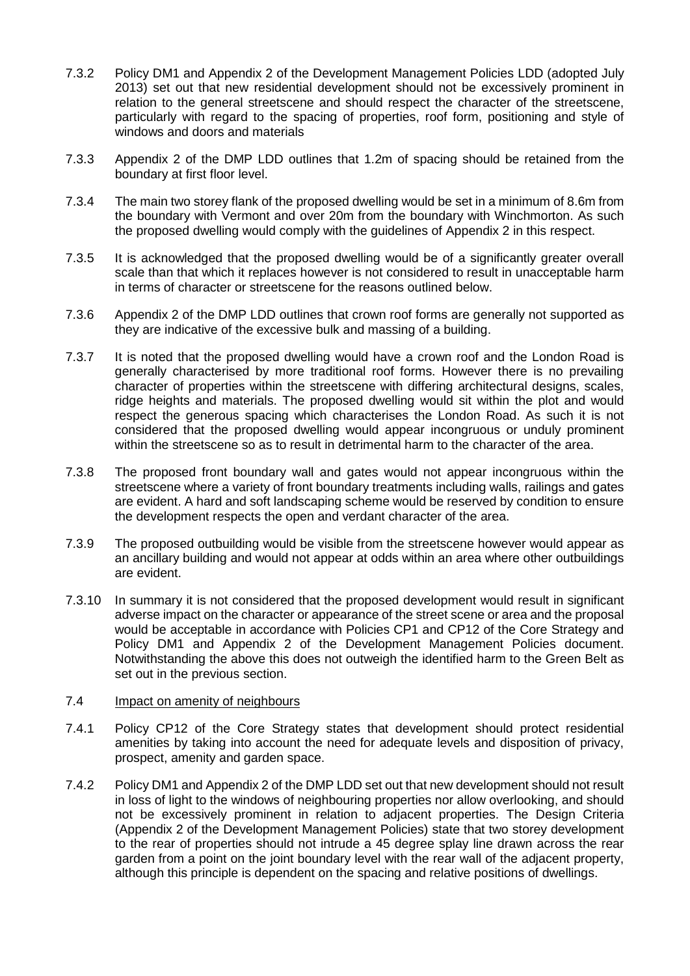- 7.3.2 Policy DM1 and Appendix 2 of the Development Management Policies LDD (adopted July 2013) set out that new residential development should not be excessively prominent in relation to the general streetscene and should respect the character of the streetscene, particularly with regard to the spacing of properties, roof form, positioning and style of windows and doors and materials
- 7.3.3 Appendix 2 of the DMP LDD outlines that 1.2m of spacing should be retained from the boundary at first floor level.
- 7.3.4 The main two storey flank of the proposed dwelling would be set in a minimum of 8.6m from the boundary with Vermont and over 20m from the boundary with Winchmorton. As such the proposed dwelling would comply with the guidelines of Appendix 2 in this respect.
- 7.3.5 It is acknowledged that the proposed dwelling would be of a significantly greater overall scale than that which it replaces however is not considered to result in unacceptable harm in terms of character or streetscene for the reasons outlined below.
- 7.3.6 Appendix 2 of the DMP LDD outlines that crown roof forms are generally not supported as they are indicative of the excessive bulk and massing of a building.
- 7.3.7 It is noted that the proposed dwelling would have a crown roof and the London Road is generally characterised by more traditional roof forms. However there is no prevailing character of properties within the streetscene with differing architectural designs, scales, ridge heights and materials. The proposed dwelling would sit within the plot and would respect the generous spacing which characterises the London Road. As such it is not considered that the proposed dwelling would appear incongruous or unduly prominent within the streetscene so as to result in detrimental harm to the character of the area.
- 7.3.8 The proposed front boundary wall and gates would not appear incongruous within the streetscene where a variety of front boundary treatments including walls, railings and gates are evident. A hard and soft landscaping scheme would be reserved by condition to ensure the development respects the open and verdant character of the area.
- 7.3.9 The proposed outbuilding would be visible from the streetscene however would appear as an ancillary building and would not appear at odds within an area where other outbuildings are evident.
- 7.3.10 In summary it is not considered that the proposed development would result in significant adverse impact on the character or appearance of the street scene or area and the proposal would be acceptable in accordance with Policies CP1 and CP12 of the Core Strategy and Policy DM1 and Appendix 2 of the Development Management Policies document. Notwithstanding the above this does not outweigh the identified harm to the Green Belt as set out in the previous section.

#### 7.4 Impact on amenity of neighbours

- 7.4.1 Policy CP12 of the Core Strategy states that development should protect residential amenities by taking into account the need for adequate levels and disposition of privacy, prospect, amenity and garden space.
- 7.4.2 Policy DM1 and Appendix 2 of the DMP LDD set out that new development should not result in loss of light to the windows of neighbouring properties nor allow overlooking, and should not be excessively prominent in relation to adjacent properties. The Design Criteria (Appendix 2 of the Development Management Policies) state that two storey development to the rear of properties should not intrude a 45 degree splay line drawn across the rear garden from a point on the joint boundary level with the rear wall of the adjacent property, although this principle is dependent on the spacing and relative positions of dwellings.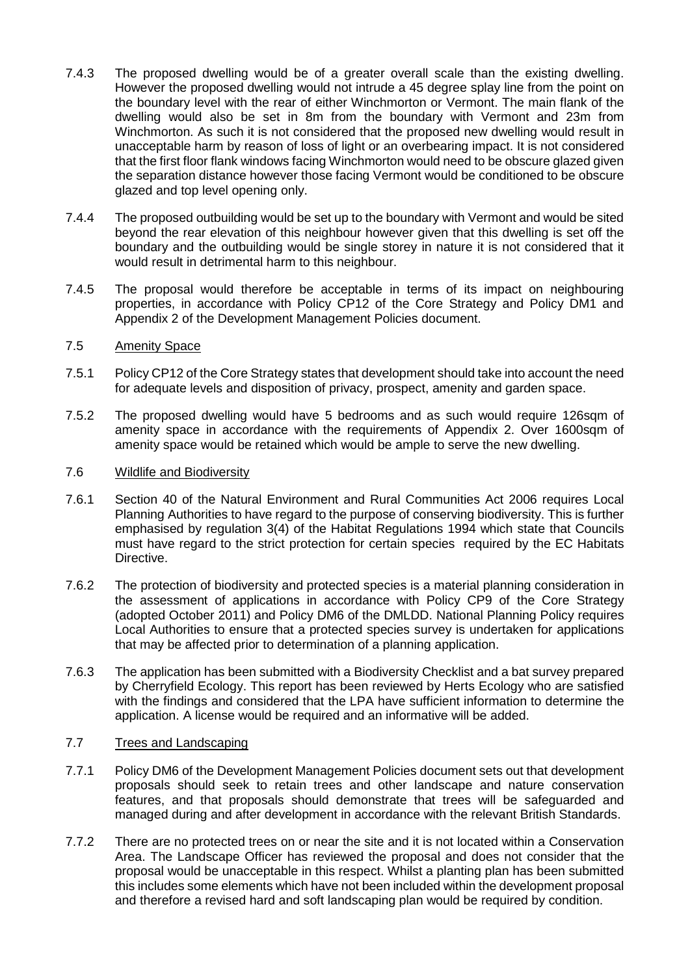- 7.4.3 The proposed dwelling would be of a greater overall scale than the existing dwelling. However the proposed dwelling would not intrude a 45 degree splay line from the point on the boundary level with the rear of either Winchmorton or Vermont. The main flank of the dwelling would also be set in 8m from the boundary with Vermont and 23m from Winchmorton. As such it is not considered that the proposed new dwelling would result in unacceptable harm by reason of loss of light or an overbearing impact. It is not considered that the first floor flank windows facing Winchmorton would need to be obscure glazed given the separation distance however those facing Vermont would be conditioned to be obscure glazed and top level opening only.
- 7.4.4 The proposed outbuilding would be set up to the boundary with Vermont and would be sited beyond the rear elevation of this neighbour however given that this dwelling is set off the boundary and the outbuilding would be single storey in nature it is not considered that it would result in detrimental harm to this neighbour.
- 7.4.5 The proposal would therefore be acceptable in terms of its impact on neighbouring properties, in accordance with Policy CP12 of the Core Strategy and Policy DM1 and Appendix 2 of the Development Management Policies document.

### 7.5 Amenity Space

- 7.5.1 Policy CP12 of the Core Strategy states that development should take into account the need for adequate levels and disposition of privacy, prospect, amenity and garden space.
- 7.5.2 The proposed dwelling would have 5 bedrooms and as such would require 126sqm of amenity space in accordance with the requirements of Appendix 2. Over 1600sqm of amenity space would be retained which would be ample to serve the new dwelling.

### 7.6 Wildlife and Biodiversity

- 7.6.1 Section 40 of the Natural Environment and Rural Communities Act 2006 requires Local Planning Authorities to have regard to the purpose of conserving biodiversity. This is further emphasised by regulation 3(4) of the Habitat Regulations 1994 which state that Councils must have regard to the strict protection for certain species required by the EC Habitats Directive.
- 7.6.2 The protection of biodiversity and protected species is a material planning consideration in the assessment of applications in accordance with Policy CP9 of the Core Strategy (adopted October 2011) and Policy DM6 of the DMLDD. National Planning Policy requires Local Authorities to ensure that a protected species survey is undertaken for applications that may be affected prior to determination of a planning application.
- 7.6.3 The application has been submitted with a Biodiversity Checklist and a bat survey prepared by Cherryfield Ecology. This report has been reviewed by Herts Ecology who are satisfied with the findings and considered that the LPA have sufficient information to determine the application. A license would be required and an informative will be added.

#### 7.7 Trees and Landscaping

- 7.7.1 Policy DM6 of the Development Management Policies document sets out that development proposals should seek to retain trees and other landscape and nature conservation features, and that proposals should demonstrate that trees will be safeguarded and managed during and after development in accordance with the relevant British Standards.
- 7.7.2 There are no protected trees on or near the site and it is not located within a Conservation Area. The Landscape Officer has reviewed the proposal and does not consider that the proposal would be unacceptable in this respect. Whilst a planting plan has been submitted this includes some elements which have not been included within the development proposal and therefore a revised hard and soft landscaping plan would be required by condition.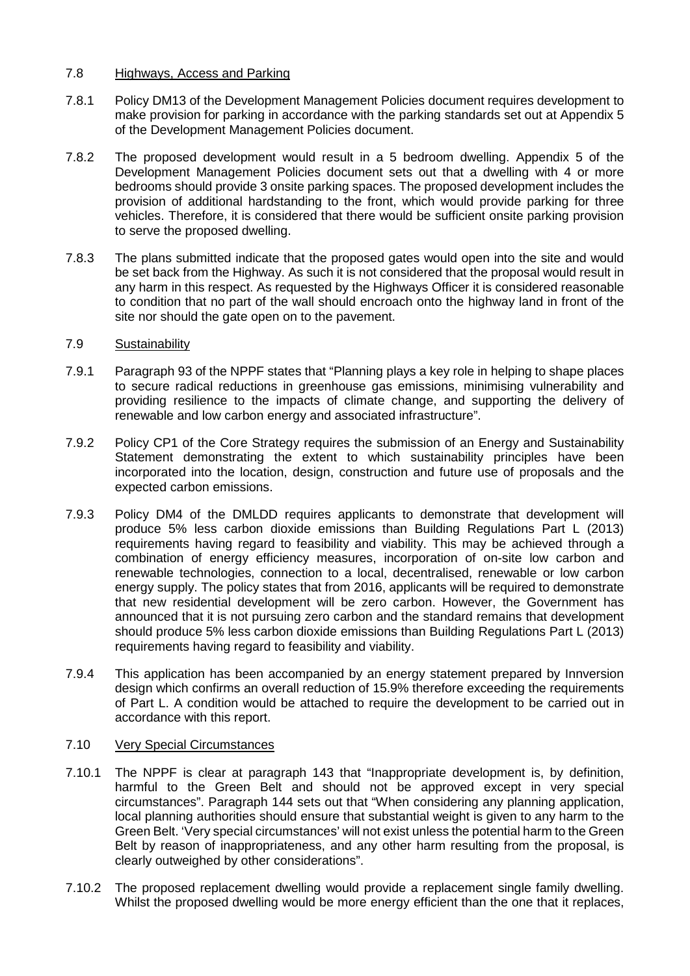### 7.8 Highways, Access and Parking

- 7.8.1 Policy DM13 of the Development Management Policies document requires development to make provision for parking in accordance with the parking standards set out at Appendix 5 of the Development Management Policies document.
- 7.8.2 The proposed development would result in a 5 bedroom dwelling. Appendix 5 of the Development Management Policies document sets out that a dwelling with 4 or more bedrooms should provide 3 onsite parking spaces. The proposed development includes the provision of additional hardstanding to the front, which would provide parking for three vehicles. Therefore, it is considered that there would be sufficient onsite parking provision to serve the proposed dwelling.
- 7.8.3 The plans submitted indicate that the proposed gates would open into the site and would be set back from the Highway. As such it is not considered that the proposal would result in any harm in this respect. As requested by the Highways Officer it is considered reasonable to condition that no part of the wall should encroach onto the highway land in front of the site nor should the gate open on to the pavement.

### 7.9 Sustainability

- 7.9.1 Paragraph 93 of the NPPF states that "Planning plays a key role in helping to shape places to secure radical reductions in greenhouse gas emissions, minimising vulnerability and providing resilience to the impacts of climate change, and supporting the delivery of renewable and low carbon energy and associated infrastructure".
- 7.9.2 Policy CP1 of the Core Strategy requires the submission of an Energy and Sustainability Statement demonstrating the extent to which sustainability principles have been incorporated into the location, design, construction and future use of proposals and the expected carbon emissions.
- 7.9.3 Policy DM4 of the DMLDD requires applicants to demonstrate that development will produce 5% less carbon dioxide emissions than Building Regulations Part L (2013) requirements having regard to feasibility and viability. This may be achieved through a combination of energy efficiency measures, incorporation of on-site low carbon and renewable technologies, connection to a local, decentralised, renewable or low carbon energy supply. The policy states that from 2016, applicants will be required to demonstrate that new residential development will be zero carbon. However, the Government has announced that it is not pursuing zero carbon and the standard remains that development should produce 5% less carbon dioxide emissions than Building Regulations Part L (2013) requirements having regard to feasibility and viability.
- 7.9.4 This application has been accompanied by an energy statement prepared by Innversion design which confirms an overall reduction of 15.9% therefore exceeding the requirements of Part L. A condition would be attached to require the development to be carried out in accordance with this report.

## 7.10 Very Special Circumstances

- 7.10.1 The NPPF is clear at paragraph 143 that "Inappropriate development is, by definition, harmful to the Green Belt and should not be approved except in very special circumstances". Paragraph 144 sets out that "When considering any planning application, local planning authorities should ensure that substantial weight is given to any harm to the Green Belt. 'Very special circumstances' will not exist unless the potential harm to the Green Belt by reason of inappropriateness, and any other harm resulting from the proposal, is clearly outweighed by other considerations".
- 7.10.2 The proposed replacement dwelling would provide a replacement single family dwelling. Whilst the proposed dwelling would be more energy efficient than the one that it replaces,